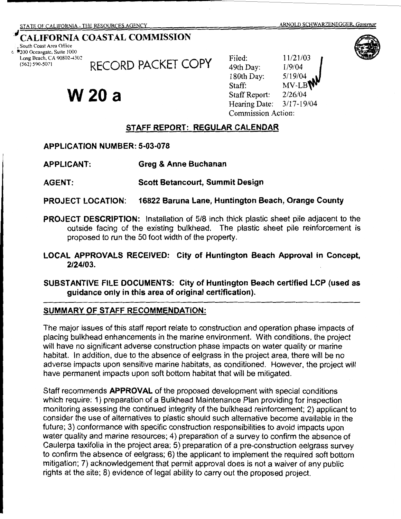ARNOLD SCHW ARZENEGGER. *Goyernor* 

## CALIFORNIA COASTAL COMMISSION South Coast Area Office

**200 Oceangate, Suite 1000<br>Long Beach, CA 90802-4302** 

(562) 590-5071 RECORD PACKET COPY

# **W20a**

Filed: 11/21/03<br>49th Day: 1/9/04 180th Day: 5/19/04 Staff: MV-LB Staff Report: 2/26/04 Hearing Date: 3/17-19/04 Commission Action:

## **STAFF REPORT: REGULAR CALENDAR**

**APPLICATION NUMBER: 5-03-078** 

**APPLICANT: Greg & Anne Buchanan** 

**AGENT: Scott Betancourt, Summit Design** 

#### **PROJECT LOCATION: 16822 Baruna Lane, Huntington Beach, Orange County**

- **PROJECT DESCRIPTION:** Installation of 5/8 inch thick plastic sheet pile adjacent to the outside facing of the existing bulkhead. The plastic sheet pile reinforcement is proposed to run the 50 foot width of the property.
- **LOCAL APPROVALS RECEIVED: City of Huntington Beach Approval in Concept, 2/24/03.**
- **SUBSTANTIVE FILE DOCUMENTS: City of Huntington Beach certified LCP (used as guidance only in this area of original certification).**

## **SUMMARY OF STAFF RECOMMENDATION:**

The major issues of this staff report relate to construction and operation phase impacts of placing bulkhead enhancements in the marine environment. With conditions, the project will have no significant adverse construction phase impacts on water quality or marine habitat. In addition, due to the absence of eelgrass in the project area, there will be no adverse impacts upon sensitive marine habitats, as conditioned. However, the project will have permanent impacts upon soft bottom habitat that will be mitigated.

Staff recommends **APPROVAL** of the proposed development with special conditions which require: 1) preparation of a Bulkhead Maintenance Plan providing for inspection monitoring assessing the continued integrity of the bulkhead reinforcement; 2) applicant to consider the use of alternatives to plastic should such alternative become available in the future; 3) conformance with specific construction responsibilities to avoid impacts upon water quality and marine resources; 4) preparation of a survey to confirm the absence of Caulerpa taxifolia in the project area; 5) preparation of a pre-construction eelgrass survey to confirm the absence of eelgrass; 6) the applicant to implement the required soft bottom mitigation; 7) acknowledgement that permit approval does is not a waiver of any public rights at the site; 8) evidence of legal ability to carry out the proposed project.

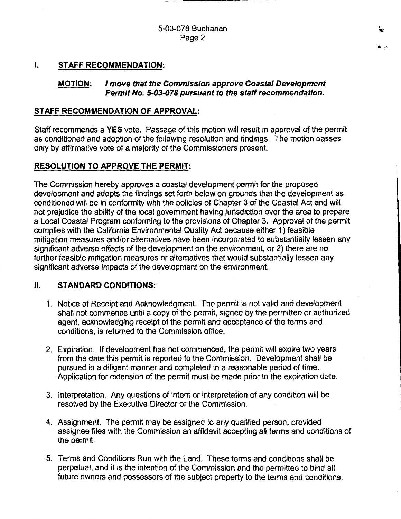#### I. **STAFF RECOMMENDATION:**

#### **MOTION: I move that the Commission approve Coastal Development Permit No. 5-03-078 pursuant to the staff recommendation.**

#### **STAFF RECOMMENDATION OF APPROVAL:**

Staff recommends a **YES** vote. Passage of this motion will result in approval of the permit as conditioned and adoption of the following resolution and findings. The motion passes only by affirmative vote of a majority of the Commissioners present.

#### **RESOLUTION TO APPROVE THE PERMIT:**

The Commission hereby approves a coastal development permit for the proposed development and adopts the findings set forth below on grounds that the development as conditioned will be in conformity with the policies of Chapter 3 of the Coastal Act and will not prejudice the ability of the local government having jurisdiction over the area to prepare a Local Coastal Program conforming to the provisions of Chapter 3. Approval of the permit complies with the California Environmental Quality Act because either 1) feasible mitigation measures and/or alternatives have been incorporated to substantially lessen any significant adverse effects of the development on the environment, or 2) there are no further feasible mitigation measures or alternatives that would substantially lessen any significant adverse impacts of the development on the environment.

#### II. **STANDARD CONDITIONS:**

- 1. Notice of Receipt and Acknowledgment. The permit is not valid and development shall not commence until a copy of the permit, signed by the permittee or authorized agent, acknowledging receipt of the permit and acceptance of the terms and conditions, is returned to the Commission office.
- 2. Expiration. If development has not commenced, the permit will expire two years from the date this permit is reported to the Commission. Development shall be pursued in a diligent manner and completed in a reasonable period of time. Application for extension of the permit must be made prior to the expiration date.
- 3. Interpretation. Any questions of intent or interpretation of any condition will be resolved by the Executive Director or the Commission.
- 4. Assignment. The permit may be assigned to any qualified person, provided assignee files with the Commission an affidavit accepting all terms and conditions of the permit.
- 5. Terms and Conditions Run with the Land. These terms and conditions shall be perpetual, and it is the intention of the Commission and the permittee to bind all future owners and possessors of the subject property to the terms and conditions.

 $\ddot{\bullet}$ 

• ::?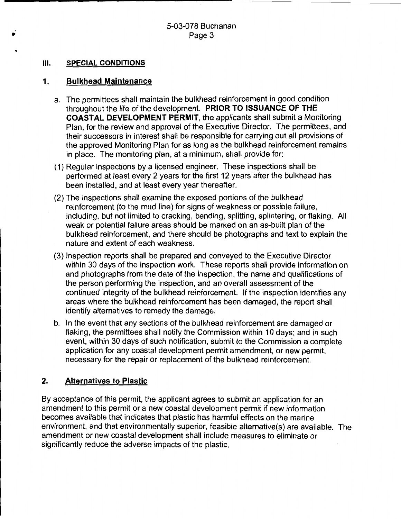#### **Ill. SPECIAL CONDITIONS**

. •

#### **1. Bulkhead Maintenance**

- a. The permittees shall maintain the bulkhead reinforcement in good condition throughout the life of the development. **PRIOR TO ISSUANCE OF THE COASTAL DEVELOPMENT PERMIT,** the applicants shall submit a Monitoring Plan, for the review and approval of the Executive Director. The permittees, and their successors in interest shall be responsible for carrying out all provisions of the approved Monitoring Plan for as long as the bulkhead reinforcement remains in place. The monitoring plan, at a minimum, shall provide for:
- ( 1) Regular inspections by a licensed engineer. These inspections shall be performed at least every 2 years for the first 12 years after the bulkhead has been installed, and at least every year thereafter.
- (2) The inspections shall examine the exposed portions of the bulkhead reinforcement (to the mud line) for signs of weakness or possible failure, including, but not limited to cracking, bending, splitting, splintering, or flaking. All weak or potential failure areas should be marked on an as-built plan of the bulkhead reinforcement, and there should be photographs and text to explain the nature and extent of each weakness.
- (3) Inspection reports shall be prepared and conveyed to the Executive Director within 30 days of the inspection work. These reports shall provide information on and photographs from the date of the inspection, the name and qualifications of the person performing the inspection, and an overall assessment of the continued integrity of the bulkhead reinforcement. If the inspection identifies any areas where the bulkhead reinforcement has been damaged, the report shall identify alternatives to remedy the damage.
- b. In the event that any sections of the bulkhead reinforcement are damaged or flaking, the permittees shall notify the Commission within 10 days; and in such event, within 30 days of such notification, submit to the Commission a complete application for any coastal development permit amendment, or new permit, necessary for the repair or replacement of the bulkhead reinforcement.

## **2. Alternatives to Plastic**

By acceptance of this permit, the applicant agrees to submit an application for an amendment to this permit or a new coastal development permit if new information becomes available that indicates that plastic has harmful effects on the marine environment, and that environmentally superior, feasible alternative(s) are available. The amendment or new coastal development shall include measures to eliminate or significantly reduce the adverse impacts of the plastic.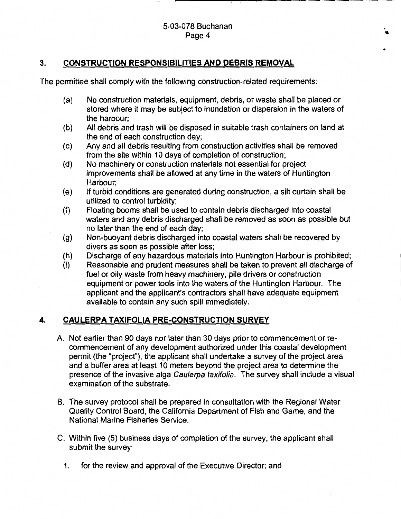### 5-03-078 Buchanan Page 4

J I

## **3. CONSTRUCTION RESPONSIBILITIES AND DEBRIS REMOVAL**

The permittee shall comply with the following construction-related requirements:

- (a) No construction materials, equipment, debris, or waste shall be placed or stored where it may be subject to inundation or dispersion in the waters of the harbour;
- (b) All debris and trash will be disposed in suitable trash containers on land at the end of each construction day;
- (c) Any and all debris resulting from construction activities shall be removed from the site within 10 days of completion of construction;
- (d) No machinery or construction materials not essential for project improvements shall be allowed at any time in the waters of Huntington Harbour;
- (e) If turbid conditions are generated during construction, a silt curtain shall be utilized to control turbidity;
- (f) Floating booms shall be used to contain debris discharged into coastal waters and any debris discharged shall be removed as soon as possible but no later than the end of each day;
- (g) Non-buoyant debris discharged into coastal waters shall be recovered by divers as soon as possible after loss;
- (h) Discharge of any hazardous materials into Huntington Harbour is prohibited;
- (i) Reasonable and prudent measures shall be taken to prevent all discharge of fuel or oily waste from heavy machinery, pile drivers or construction equipment or power tools into the waters of the Huntington Harbour. The applicant and the applicant's contractors shall have adequate equipment available to contain any such spill immediately.

## **4. CAULERPA TAXIFOLIA PRE-CONSTRUCTION SURVEY**

- A. Not earlier than 90 days nor later than 30 days prior to commencement or recommencement of any development authorized under this coastal development permit (the "project"), the applicant shall undertake a survey of the project area and a buffer area at least 10 meters beyond the project area to determine the presence of the invasive alga Caulerpa taxifolia. The survey shall include a visual examination of the substrate.
- B. The survey protocol shall be prepared in consultation with the Regional Water Quality Control Board, the California Department of Fish and Game, and the National Marine Fisheries Service.
- C. Within five (5) business days of completion of the survey, the applicant shall submit the survey:
	- 1. for the review and approval of the Executive Director; and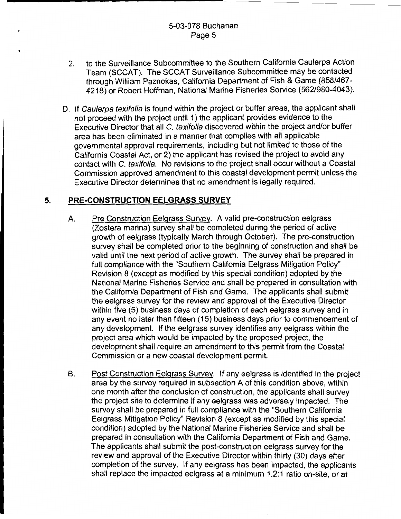- 2. to the Surveillance Subcommittee to the Southern California Caulerpa Action Team (SCCAT). The SCCAT Surveillance Subcommittee may be contacted through William Paznokas, California Department of Fish & Game (858/467- 4218) or Robert Hoffman, National Marine Fisheries Service (562/980-4043).
- D. If Caulerpa taxifolia is found within the project or buffer areas, the applicant shall not proceed with the project until 1) the applicant provides evidence to the Executive Director that all C. taxifolia discovered within the project and/or buffer area has been eliminated in a manner that complies with all applicable governmental approval requirements, including but not limited to those of the California Coastal Act, or 2) the applicant has revised the project to avoid any contact with C. taxifolia. No revisions to the project shall occur without a Coastal Commission approved amendment to this coastal development permit unless the Executive Director determines that no amendment is legally required.

#### **5. PRE-CONSTRUCTION EELGRASS SURVEY**

- A. Pre Construction Eelgrass Survey. A valid pre-construction eelgrass (Zostera marina) survey shall be completed during the period of active growth of eelgrass (typically March through October). The pre-construction survey shall be completed prior to the beginning of construction and shall be valid until the next period of active growth. The survey shall be prepared in full compliance with the "Southern California Eelgrass Mitigation Policy" Revision 8 (except as modified by this special condition) adopted by the National Marine Fisheries Service and shall be prepared in consultation with the California Department of Fish and Game. The applicants shall submit the eelgrass survey for the review and approval of the Executive Director within five (5) business days of completion of each eelgrass survey and in any event no later than fifteen (15) business days prior to commencement of any development. If the eelgrass survey identifies any eelgrass within the project area which would be impacted by the proposed project, the development shall require an amendment to this permit from the Coastal Commission or a new coastal development permit.
- B. Post Construction Eelgrass Survey. If any eelgrass is identified in the project area by the survey required in subsection A of this condition above, within one month after the conclusion of construction, the applicants shall survey the project site to determine if any eelgrass was adversely impacted. The survey shall be prepared in full compliance with the "Southern California Eelgrass Mitigation Policy" Revision 8 (except as modified by this special condition) adopted by the National Marine Fisheries Service and shall be prepared in consultation with the California Department of Fish and Game. The applicants shall submit the post-construction eelgrass survey for the review and approval of the Executive Director within thirty (30) days after completion of the survey. If any eelgrass has been impacted, the applicants shall replace the impacted eelgrass at a minimum 1.2:1 ratio on-site, or at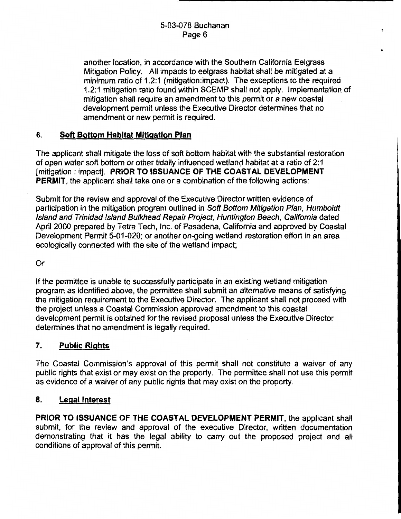another location, in accordance with the Southern California Eelgrass Mitigation Policy. All impacts to eelgrass habitat shall be mitigated at a minimum ratio of 1.2:1 (mitigation:impact). The exceptions to the required 1.2:1 mitigation ratio found within SCEMP shall not apply. Implementation of mitigation shall require an amendment to this permit or a new coastal development permit unless the Executive Director determines that no amendment or new permit is required.

÷

#### **6. Soft Bottom Habitat Mitigation Plan**

The applicant shall mitigate the loss of soft bottom habitat with the substantial restoration of open water soft bottom or other tidally influenced wetland habitat at a ratio of 2:1 [mitigation : impact]. **PRIOR TO ISSUANCE OF THE COASTAL DEVELOPMENT PERMIT,** the applicant shall take one or a combination of the following actions:

Submit for the review and approval of the Executive Director written evidence of participation in the mitigation program outlined in Soft Bottom Mitigation Plan, Humboldt Island and Trinidad Island Bulkhead Repair Project, Huntington Beach, California dated April 2000 prepared by Tetra Tech, Inc. of Pasadena, California and approved by Coastal Development Permit 5-01-020; or another on-going wetland restoration effort in an area ecologically connected with the site of the wetland impact;

Or

If the permittee is unable to successfully participate in an existing wetland mitigation program as identified above, the permittee shall submit an alternative means of satisfying the mitigation requirement to the Executive Director. The applicant shall not proceed with the project unless a Coastal Commission approved amendment to this coastal development permit is obtained for the revised proposal unless the Executive Director determines that no amendment is legally required.

## **7. Public Rights**

The Coastal Commission's approval of this permit shall not constitute a waiver of any public rights that exist or may exist on the property. The permittee shall not use this permit as evidence of a waiver of any public rights that may exist on the property.

#### **8. Legal Interest**

**PRIOR TO ISSUANCE OF THE COASTAL DEVELOPMENT PERMIT,** the applicant shall submit, for the review and approval of the executive Director, written documentation demonstrating that it has the legal ability to carry out the proposed project and all conditions of approval of this permit.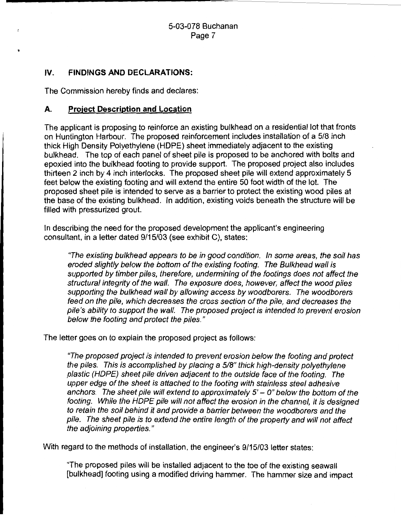## IV. **FINDINGS AND DECLARATIONS:**

The Commission hereby finds and declares:

### **A. Project Description and Location**

The applicant is proposing to reinforce an existing bulkhead on a residential lot that fronts on Huntington Harbour. The proposed reinforcement includes installation of a 5/8 inch thick High Density Polyethylene (HOPE) sheet immediately adjacent to the existing bulkhead. The top of each panel of sheet pile is proposed to be anchored with bolts and epoxied into the bulkhead footing to provide support. The proposed project also includes thirteen 2 inch by 4 inch interlocks. The proposed sheet pile will extend approximately 5 feet below the existing footing and will extend the entire 50 foot width of the lot. The proposed sheet pile is intended to serve as a barrier to protect the existing wood piles at the base of the existing bulkhead. In addition, existing voids beneath the structure will be filled with pressurized grout.

In describing the need for the proposed development the applicant's engineering consultant, in a letter dated 9/15/03 (see exhibit C), states:

"The existing bulkhead appears to be in good condition. In some areas, the soil has eroded slightly below the bottom of the existing footing. The Bulkhead wall is supported by timber piles, therefore, undermining of the footings does not affect the structural integrity of the wall. The exposure does, however, affect the wood piles supporting the bulkhead wall by allowing access by woodborers. The woodborers feed on the pile, which decreases the cross section of the pile, and decreases the pile's ability to support the wall. The proposed project is intended to prevent erosion below the footing and protect the piles."

The letter goes on to explain the proposed project as follows:

"The proposed project is intended to prevent erosion below the footing and protect the piles. This is accomplished by placing a 5/8" thick high-density polyethylene plastic (HOPE) sheet pile driven adjacent to the outside face of the footing. The upper edge of the sheet is attached to the footing with stainless steel adhesive anchors. The sheet pile will extend to approximately  $5' - 0''$  below the bottom of the footing. While the HOPE pile will not affect the erosion in the channel, it is designed to retain the soil behind it and provide a barrier between the woodborers and the pile. The sheet pile is to extend the entire length of the property and will not affect the adjoining properties."

With regard to the methods of installation, the engineer's 9/15/03 letter states:

"The proposed piles will be installed adjacent to the toe of the existing seawall [bulkhead] footing using a modified driving hammer. The hammer size and impact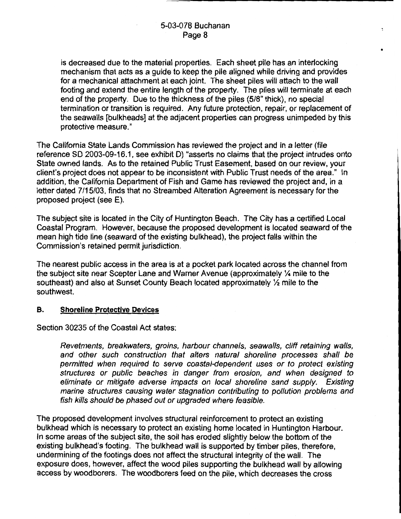is decreased due to the material properties. Each sheet pile has an interlocking mechanism that acts as a guide to keep the pile aligned while driving and provides for a mechanical attachment at each joint. The sheet piles will attach to the wall footing and extend the entire length of the property. The piles will terminate at each end of the property. Due to the thickness of the piles (5/8" thick), no special termination or transition is required. Any future protection, repair, or replacement of the seawalls [bulkheads] at the adjacent properties can progress unimpeded by this protective measure."

•

The California State Lands Commission has reviewed the project and in a letter (file reference SO 2003-09-16.1, see exhibit D) "asserts no claims that the project intrudes onto State owned lands. As to the retained Public Trust Easement, based on our review, your client's project does not appear to be inconsistent with Public Trust needs of the area." In addition, the California Department of Fish and Game has reviewed the project and, in a letter dated 7/15/03, finds that no Streambed Alteration Agreement is necessary for the proposed project (see E).

The subject site is located in the City of Huntington Beach. The City has a certified Local Coastal Program. However, because the proposed development is located seaward of the mean high tide line (seaward of the existing bulkhead), the project falls within the Commission's retained permit jurisdiction.

The nearest public access in the area is at a pocket park located across the channel from the subject site near Scepter Lane and Warner Avenue (approximately  $\frac{1}{4}$  mile to the southeast) and also at Sunset County Beach located approximately 1/2 mile to the southwest.

#### B. Shoreline Protective Devices

Section 30235 of the Coastal Act states:

Revetments, breakwaters, groins, harbour channels, seawalls, cliff retaining walls, and other such construction that alters natural shoreline processes shall be permitted when required to serve coastal-dependent uses or to protect existing structures or public beaches in danger from erosion, and when designed to eliminate or mitigate adverse impacts on local shoreline sand supply. Existing marine structures causing water stagnation contributing to pollution problems and fish kills should be phased out or upgraded where feasible.

The proposed development involves structural reinforcement to protect an existing bulkhead which is necessary to protect an existing home located in Huntington Harbour. In some areas of the subject site, the soil has eroded slightly below the bottom of the existing bulkhead's footing. The bulkhead wall is supported by timber piles, therefore, undermining of the footings does not affect the structural integrity of the wall. The exposure does, however, affect the wood piles supporting the bulkhead wall by allowing access by woodborers. The woodborers feed on the pile, which decreases the cross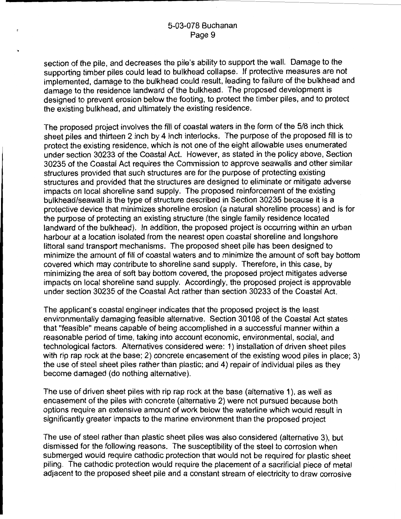section of the pile, and decreases the pile's ability to support the wall. Damage to the supporting timber piles could lead to bulkhead collapse. If protective measures are not implemented, damage to the bulkhead could result, leading to failure of the bulkhead and damage to the residence landward of the bulkhead. The proposed development is designed to prevent erosion below the footing, to protect the timber piles, and to protect the existing bulkhead, and ultimately the existing residence.

The proposed project involves the fill of coastal waters in the form of the 5/8 inch thick sheet piles and thirteen 2 inch by 4 inch interlocks. The purpose of the proposed fill is to protect the existing residence, which is not one of the eight allowable uses enumerated under section 30233 of the Coastal Act. However, as stated in the policy above, Section 30235 of the Coastal Act requires the Commission to approve seawalls and other similar structures provided that such structures are for the purpose of protecting existing structures and provided that the structures are designed to eliminate or mitigate adverse impacts on local shoreline sand supply. The proposed reinforcement of the existing bulkhead/seawall is the type of structure described in Section 30235 because it is a protective device that minimizes shoreline erosion (a natural shoreline process) and is for the purpose of protecting an existing structure (the single family residence located landward of the bulkhead). In addition, the proposed project is occurring within an urban harbour at a location isolated from the nearest open coastal shoreline and longshore littoral sand transport mechanisms. The proposed sheet pile has been designed to minimize the amount of fill of coastal waters and to minimize the amount of soft bay bottom covered which may contribute to shoreline sand supply. Therefore, in this case, by minimizing the area of soft bay bottom covered, the proposed project mitigates adverse impacts on local shoreline sand supply. Accordingly, the proposed project is approvable under section 30235 of the Coastal Act rather than section 30233 of the Coastal Act.

The applicant's coastal engineer indicates that the proposed project is the least environmentally damaging feasible alternative. Section 30108 of the Coastal Act states that "feasible" means capable of being accomplished in a successful manner within a reasonable period of time, taking into account economic, environmental, social, and technological factors. Alternatives considered were: 1) installation of driven sheet piles with rip rap rock at the base; 2) concrete encasement of the existing wood piles in place; 3) the use of steel sheet piles rather than plastic; and 4) repair of individual piles as they become damaged (do nothing alternative).

The use of driven sheet piles with rip rap rock at the base (alternative 1 ), as well as encasement of the piles with concrete (alternative 2) were not pursued because both options require an extensive amount of work below the waterline which would result in significantly greater impacts to the marine environment than the proposed project

The use of steel rather than plastic sheet piles was also considered (alternative 3), but dismissed for the following reasons. The susceptibility of the steel to corrosion when submerged would require cathodic protection that would not be required for plastic sheet piling. The cathodic protection would require the placement of a sacrificial piece of metal adjacent to the proposed sheet pile and a constant stream of electricity to draw corrosive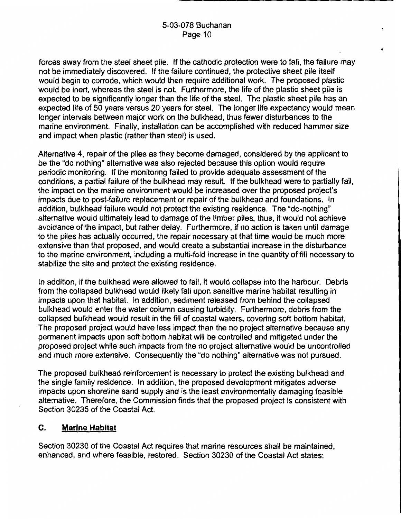forces away from the steel sheet pile. If the cathodic protection were to fail, the failure may not be immediately discovered. If the failure continued, the protective sheet pile itself would begin to corrode, which would then require additional work. The proposed plastic would be inert, whereas the steel is not. Furthermore, the life of the plastic sheet pile is expected to be significantly longer than the life of the steel. The plastic sheet pile has an expected life of 50 years versus 20 years for steel. The longer life expectancy would mean longer intervals between major work on the bulkhead, thus fewer disturbances to the marine environment. Finally, installation can be accomplished with reduced hammer size and impact when plastic (rather than steel) is used.

Alternative 4, repair of the piles as they become damaged, considered by the applicant to be the "do nothing" alternative was also rejected because this option would require periodic monitoring. If the monitoring failed to provide adequate assessment of the conditions, a partial failure of the bulkhead may result. If the bulkhead were to partially fail, the impact on the marine environment would be increased over the proposed project's impacts due to post-failure replacement or repair of the bulkhead and foundations. In addition, bulkhead failure would not protect the existing residence. The "do-nothing" alternative would ultimately lead to damage of the timber piles, thus, it would not achieve avoidance of the impact, but rather delay. Furthermore, if no action is taken until damage to the piles has actually occurred, the repair necessary at that time would be much more extensive than that proposed, and would create a substantial increase in the disturbance to the marine environment, including a multi-fold increase in the quantity of fill necessary to stabilize the site and protect the existing residence.

In addition, if the bulkhead were allowed to fail, it would collapse into the harbour. Debris from the collapsed bulkhead would likely fall upon sensitive marine habitat resulting in impacts upon that habitat. In addition, sediment released from behind the collapsed bulkhead would enter the water column causing turbidity. Furthermore, debris from the collapsed bulkhead would result in the fill of coastal waters, covering soft bottom habitat. The proposed project would have less impact than the no project alternative because any permanent impacts upon soft bottom habitat will be controlled and mitigated under the proposed project while such impacts from the no project alternative would be uncontrolled and much more extensive. Consequently the "do nothing" alternative was not pursued.

The proposed bulkhead reinforcement is necessary to protect the existing bulkhead and the single family residence. In addition, the proposed development mitigates adverse impacts upon shoreline sand supply and is the least environmentally damaging feasible alternative. Therefore, the Commission finds that the proposed project is consistent with Section 30235 of the Coastal Act.

#### **C. Marine Habitat**

Section 30230 of the Coastal Act requires that marine resources shall be maintained, enhanced, and where feasible, restored. Section 30230 of the Coastal Act states: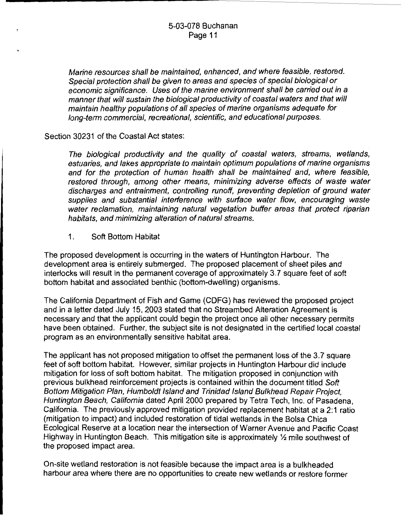Marine resources shall be maintained, enhanced, and where feasible, restored. Special protection shall be given to areas and species of special biological or economic significance. Uses of the marine environment shall be carried out in a manner that will sustain the biological productivity of coastal waters and that will maintain healthy populations of all species of marine organisms adequate for long-term commercial, recreational, scientific, and educational purposes.

Section 30231 of the Coastal Act states:

The biological productivity and the quality of coastal waters, streams, wetlands, estuaries, and lakes appropriate to maintain optimum populations of marine organisms and for the protection of human health shall be maintained and, where feasible, restored through, among other means, minimizing adverse effects of waste water discharges and entrainment, controlling runoff, preventing depletion of ground water supplies and substantial interference with surface water flow, encouraging waste water reclamation, maintaining natural vegetation buffer areas that protect riparian habitats, and minimizing alteration of natural streams.

1. Soft Bottom Habitat

The proposed development is occurring in the waters of Huntington Harbour. The development area is entirely submerged. The proposed placement of sheet piles and interlocks will result in the permanent coverage of approximately 3.7 square feet of soft bottom habitat and associated benthic (bottom-dwelling) organisms.

The California Department of Fish and Game (CDFG) has reviewed the proposed project and in a letter dated July 15, 2003 stated that no Streambed Alteration Agreement is necessary and that the applicant could begin the project once all other necessary permits have been obtained. Further, the subject site is not designated in the certified local coastal program as an environmentally sensitive habitat area.

The applicant has not proposed mitigation to offset the permanent loss of the 3.7 square feet of soft bottom habitat. However, similar projects in Huntington Harbour did include mitigation for loss of soft bottom habitat. The mitigation proposed in conjunction with previous bulkhead reinforcement projects is contained within the document titled Soft Bottom Mitigation Plan, Humboldt Island and Trinidad Island Bulkhead Repair Project, Huntington Beach, California dated April 2000 prepared by Tetra Tech, Inc. of Pasadena, California. The previously approved mitigation provided replacement habitat at a 2:1 ratio (mitigation to impact) and included restoration of tidal wetlands in the Balsa Chica Ecological Reserve at a location near the intersection of Warner Avenue and Pacific Coast Highway in Huntington Beach. This mitigation site is approximately 1/2 mile southwest of the proposed impact area.

On-site wetland restoration is not feasible because the impact area is a bulkheaded harbour area where there are no opportunities to create new wetlands or restore former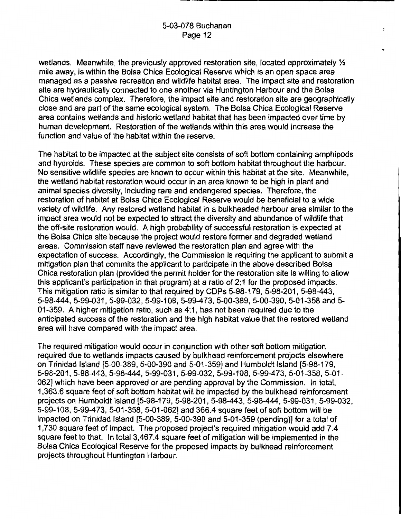wetlands. Meanwhile, the previously approved restoration site, located approximately  $\frac{1}{2}$ mile away, is within the Bolsa Chica Ecological Reserve which is an open space area managed as a passive recreation and wildlife habitat area. The impact site and restoration site are hydraulically connected to one another via Huntington Harbour and the Bolsa Chica wetlands complex. Therefore, the impact site and restoration site are geographically close and are part of the same ecological system. The Bolsa Chica Ecological Reserve area contains wetlands and historic wetland habitat that has been impacted over time by human development. Restoration of the wetlands within this area would increase the function and value of the habitat within the reserve.

The habitat to be impacted at the subject site consists of soft bottom containing amphipods and hydroids. These species are common to soft bottom habitat throughout the harbour. No sensitive wildlife species are known to occur within this habitat at the site. Meanwhile, the wetland habitat restoration would occur in an area known to be high in plant and animal species diversity, including rare and endangered species. Therefore, the restoration of habitat at Bolsa Chica Ecological Reserve would be beneficial to a wide variety of wildlife. Any restored wetland habitat in a bulkheaded harbour area similar to the impact area would not be expected to attract the diversity and abundance of wildlife that the off-site restoration would. A high probability of successful restoration is expected at the Bolsa Chica site because the project would restore former and degraded wetland areas. Commission staff have reviewed the restoration plan and agree with the expectation of success. Accordingly, the Commission is requiring the applicant to submit a mitigation plan that commits the applicant to participate in the above described Bolsa Chica restoration plan (provided the permit holder for the restoration site is willing to allow this applicant's participation in that program) at a ratio of 2:1 for the proposed impacts. This mitigation ratio is similar to that required by COPs 5-98-179, 5-98-201, 5-98-443, 5-98-444,5-99-031,5-99-032, 5-99-108,5-99-473,5-00-389,5-00-390,5-01-358 and 5- 01-359. A higher mitigation ratio, such as 4:1, has not been required due to the anticipated success of the restoration and the high habitat value that the restored wetland area will have compared with the impact area.

The required mitigation would occur in conjunction with other soft bottom mitigation required due to wetlands impacts caused by bulkhead reinforcement projects elsewhere on Trinidad Island [5-00-389, 5-00-390 and 5-01-359] and Humboldt Island [5-98-179, 5-98-201, 5-98-443, 5-98-444, 5-99-031, 5-99-032, 5-99-108, 5-99-473, 5-01-358, 5-01-062] which have been approved or are pending approval by the Commission. In total, 1 ,363.6 square feet of soft bottom habitat will be impacted by the bulkhead reinforcement projects on Humboldt Island [5-98-179, 5-98-201, 5-98-443, 5-98-444, 5-99-031, 5-99-032, 5-99-108, 5-99-473, 5-01-358, 5-01-062] and 366.4 square feet of soft bottom will be impacted on Trinidad Island [5-00-389, 5-00-390 and 5-01-359 (pending)] for a total of 1,730 square feet of impact. The proposed project's required mitigation would add 7.4 square feet to that. In total 3,467.4 square feet of mitigation will be implemented in the Bolsa Chica Ecological Reserve for the proposed impacts by bulkhead reinforcement projects throughout Huntington Harbour.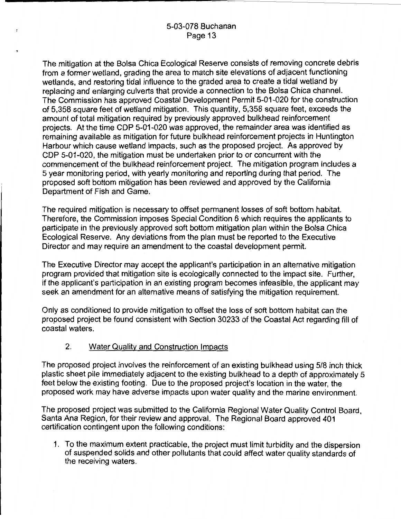The mitigation at the Balsa Chica Ecological Reserve consists of removing concrete debris from a former wetland, grading the area to match site elevations of adjacent functioning wetlands, and restoring tidal influence to the graded area to create a tidal wetland by replacing and enlarging culverts that provide a connection to the Balsa Chica channel. The Commission has approved Coastal Development Permit 5-01-020 for the construction of 5,358 square feet of wetland mitigation. This quantity, 5,358 square feet, exceeds the amount of total mitigation required by previously approved bulkhead reinforcement projects. At the time COP 5-01-020 was approved, the remainder area was identified as remaining available as mitigation for future bulkhead reinforcement projects in Huntington Harbour which cause wetland impacts, such as the proposed project. As approved by COP 5-01-020, the mitigation must be undertaken prior to or concurrent with the commencement of the bulkhead reinforcement project. The mitigation program includes a 5 year monitoring period, with yearly monitoring and reporting during that period. The proposed soft bottom mitigation has been reviewed and approved by the California Department of Fish and Game.

The required mitigation is necessary to offset permanent losses of soft bottom habitat. Therefore, the Commission imposes Special Condition 6 which requires the applicants to participate in the previously approved soft bottom mitigation plan within the Balsa Chica Ecological Reserve. Any deviations from the plan must be reported to the Executive Director and may require an amendment to the coastal development permit.

The Executive Director may accept the applicant's participation in an alternative mitigation program provided that mitigation site is ecologically connected to the impact site. Further, if the applicant's participation in an existing program becomes infeasible, the applicant may seek an amendment for an alternative means of satisfying the mitigation requirement.

Only as conditioned to provide mitigation to offset the loss of soft bottom habitat can the proposed project be found consistent with Section 30233 of the Coastal Act regarding fill of coastal waters.

### 2. Water Quality and Construction Impacts

The proposed project involves the reinforcement of an existing bulkhead using 5/8 inch thick plastic sheet pile immediately adjacent to the existing bulkhead to a depth of approximately 5 feet below the existing footing. Due to the proposed project's location in the water, the proposed work may have adverse impacts upon water quality and the marine environment.

The proposed project was submitted to the California Regional Water Quality Control Board, Santa Ana Region, for their review and approval. The Regional Board approved 401 certification contingent upon the following conditions:

1. To the maximum extent practicable, the project must limit turbidity and the dispersion of suspended solids and other pollutants that could affect water quality standards of the receiving waters.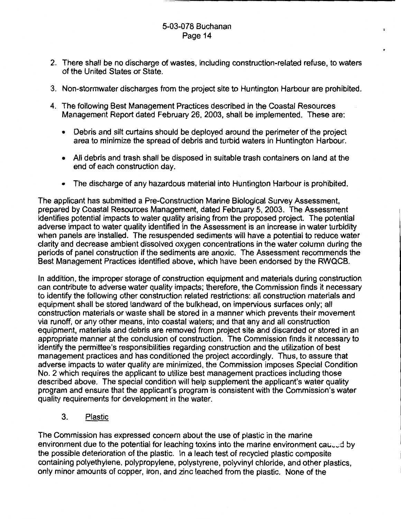- 2. There shall be no discharge of wastes, including construction-related refuse, to waters of the United States or State.
- 3. Non-stormwater discharges from the project site to Huntington Harbour are prohibited.
- 4. The following Best Management Practices described in the Coastal Resources Management Report dated February 26, 2003, shall be implemented. These are:
	- Debris and silt curtains should be deployed around the perimeter of the project area to minimize the spread of debris and turbid waters in Huntington Harbour.
	- All debris and trash shall be disposed in suitable trash containers on land at the end of each construction day.
	- The discharge of any hazardous material into Huntington Harbour is prohibited.

The applicant has submitted a Pre-Construction Marine Biological Survey Assessment, prepared by Coastal Resources Management, dated February 5, 2003. The Assessment identifies potential impacts to water quality arising from the proposed project. The potential adverse impact to water quality identified in the Assessment is an increase in water turbidity when panels are installed. The resuspended sediments will have a potential to reduce water clarity and decrease ambient dissolved oxygen concentrations in the water column during the periods of panel construction if the sediments are anoxic. The Assessment recommends the Best Management Practices identified above, which have been endorsed by the RWQCB.

In addition, the improper storage of construction equipment and materials during construction can contribute to adverse water quality impacts; therefore, the Commission finds it necessary to identify the following other construction related restrictions: all construction materials and equipment shall be stored landward of the bulkhead, on impervious surfaces only; all construction materials or waste shall be stored in a manner which prevents their movement via runoff, or any other means, into coastal waters; and that any and all construction equipment, materials and debris are removed from project site and discarded or stored in an appropriate manner at the conclusion of construction. The Commission finds it necessary to identify the permittee's responsibilities regarding construction and the utilization of best management practices and has conditioned the project accordingly. Thus, to assure that adverse impacts to water quality are minimized, the Commission imposes Special Condition No. 2 which requires the applicant to utilize best management practices including those described above. The special condition will help supplement the applicant's water quality program and ensure that the applicant's program is consistent with the Commission's water quality requirements for development in the water.

3. Plastic

The Commission has expressed concern about the use of plastic in the marine environment due to the potential for leaching toxins into the marine environment caused by the possible deterioration of the plastic. In a leach test of recycled plastic composite containing polyethylene, polypropylene, polystyrene, polyvinyl chloride, and other plastics, only minor amounts of copper, iron, and zinc leached from the plastic. None of the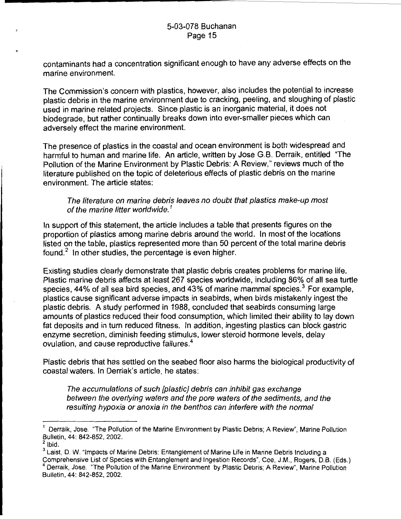contaminants had a concentration significant enough to have any adverse effects on the marine environment.

The Commission's concern with plastics, however, also includes the potential to increase plastic debris in the marine environment due to cracking, peeling, and sloughing of plastic used in marine related projects. Since plastic is an inorganic material, it does not biodegrade, but rather continually breaks down into ever-smaller pieces which can adversely effect the marine environment.

The presence of plastics in the coastal and ocean environment is both widespread and harmful to human and marine life. An article, written by Jose G.B. Derraik, entitled "The Pollution of the Marine Environment by Plastic Debris: A Review," reviews much of the literature published on the topic of deleterious effects of plastic debris on the marine environment. The article states:

#### The literature on marine debris leaves no doubt that plastics make-up most of the marine litter worldwide.<sup>1</sup>

In support of this statement, the article includes a table that presents figures on the proportion of plastics among marine debris around the world. In most of the locations listed on the table, plastics represented more than 50 percent of the total marine debris found. $2$  In other studies, the percentage is even higher.

Existing studies clearly demonstrate that plastic debris creates problems for marine life. Plastic marine debris affects at least 267 species worldwide, including 86% of all sea turtle species,  $44\%$  of all sea bird species, and  $43\%$  of marine mammal species.<sup>3</sup> For example, plastics cause significant adverse impacts in seabirds, when birds mistakenly ingest the plastic debris. A study performed in 1988, concluded that seabirds consuming large amounts of plastics reduced their food consumption, which limited their ability to lay down fat deposits and in turn reduced fitness. In addition, ingesting plastics can block gastric enzyme secretion, diminish feeding stimulus, lower steroid hormone levels, delay ovulation, and cause reproductive failures.<sup>4</sup>

Plastic debris that has settled on the seabed floor also harms the biological productivity of coastal waters. In Derriak's article, he states:

The accumulations of such [plastic] debris can inhibit gas exchange between the overlying waters and the pore waters of the sediments, and the resulting hypoxia or anoxia in the benthos can interfere with the normal

<sup>1</sup>Derraik, Jose. "The Pollution of the Marine Environment by Plastic Debris; A Review", Marine Pollution Bulletin, 44: 842-852, 2002.

 $<sup>2</sup>$  lbid.</sup>

<sup>&</sup>lt;sup>3</sup> Laist, D. W. "Impacts of Marine Debris: Entanglement of Marine Life in Marine Debris Including a<br>Comprehensive List of Species with Entanglement and Ingestion Records", Coe, J.M., Rogers, D.B. (Eds.) <sup>4</sup> Derraik, Jose. "The Pollution of the Marine Environment by Plastic Debris; A Review", Marine Pollution

Bulletin, 44: 842-852, 2002.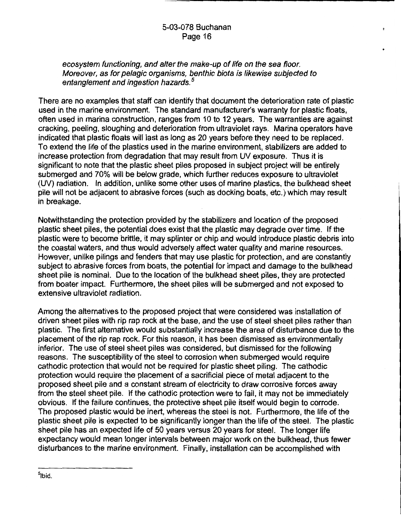ecosystem functioning, and alter the make-up of life on the sea floor. Moreover, as for pelagic organisms, benthic biota is likewise subjected to entanglement and ingestion hazards. *<sup>5</sup>*

There are no examples that staff can identify that document the deterioration rate of plastic used in the marine environment. The standard manufacturer's warranty for plastic floats, often used in marina construction, ranges from 10 to 12 years. The warranties are against cracking, peeling, sloughing and deterioration from ultraviolet rays. Marina operators have indicated that plastic floats will last as long as 20 years before they need to be replaced. To extend the life of the plastics used in the marine environment, stabilizers are added to increase protection from degradation that may result from UV exposure. Thus it is significant to note that the plastic sheet piles proposed in subject project will be entirely submerged and 70% will be below grade, which further reduces exposure to ultraviolet (UV) radiation. In addition, unlike some other uses of marine plastics, the bulkhead sheet pile will not be adjacent to abrasive forces (such as docking boats, etc.) which may result in breakage.

Notwithstanding the protection provided by the stabilizers and location of the proposed plastic sheet piles, the potential does exist that the plastic may degrade over time. If the plastic were to become brittle, it may splinter or chip and would introduce plastic debris into the coastal waters, and thus would adversely affect water quality and marine resources. However, unlike pilings and fenders that may use plastic for protection, and are constantly subject to abrasive forces from boats, the potential for impact and damage to the bulkhead sheet pile is nominal. Due to the location of the bulkhead sheet piles, they are protected from boater impact. Furthermore, the sheet piles will be submerged and not exposed to extensive ultraviolet radiation.

Among the alternatives to the proposed project that were considered was installation of driven sheet piles with rip rap rock at the base, and the use of steel sheet piles rather than plastic. The first alternative would substantially increase the area of disturbance due to the placement of the rip rap rock. For this reason, it has been dismissed as environmentally inferior. The use of steel sheet piles was considered, but dismissed for the following reasons. The susceptibility of the steel to corrosion when submerged would require cathodic protection that would not be required for plastic sheet piling. The cathodic protection would require the placement of a sacrificial piece of metal adjacent to the proposed sheet pile and a constant stream of electricity to draw corrosive forces away from the steel sheet pile. If the cathodic protection were to fail, it may not be immediately obvious. If the failure continues, the protective sheet pile itself would begin to corrode. The proposed plastic would be inert, whereas the steel is not. Furthermore, the life of the plastic sheet pile is expected to be significantly longer than the life of the steel. The plastic sheet pile has an expected life of 50 years versus 20 years for steel. The longer life expectancy would mean longer intervals between major work on the bulkhead, thus fewer disturbances to the marine environment. Finally, installation can be accomplished with

<sup>&</sup>lt;sup>5</sup>lbid.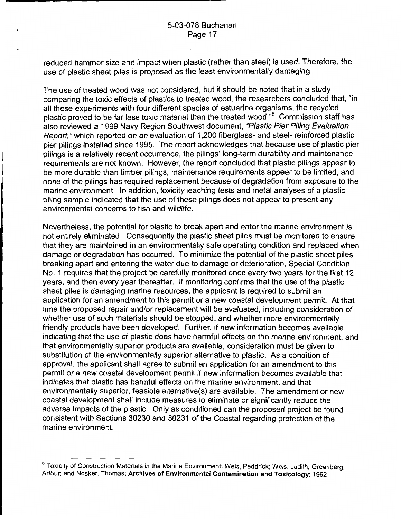reduced hammer size and impact when plastic (rather than steel) is used. Therefore, the use of plastic sheet piles is proposed as the least environmentally damaging.

The use of treated wood was not considered, but it should be noted that in a study comparing the toxic effects of plastics to treated wood, the researchers concluded that, "in all these experiments with four different species of estuarine organisms, the recycled plastic proved to be far less toxic material than the treated wood."6 Commission staff has also reviewed a 1999 Navy Region Southwest document, "Plastic Pier Piling Evaluation Report," which reported on an evaluation of 1 ,200 fiberglass- and steel- reinforced plastic pier pilings installed since 1995. The report acknowledges that because use of plastic pier pilings is a relatively recent occurrence, the pilings' long-term durability and maintenance requirements are not known. However, the report concluded that plastic pilings appear to be more durable than timber pilings, maintenance requirements appear to be limited, and none of the pilings has required replacement because of degradation from exposure to the marine environment. In addition, toxicity leaching tests and metal analyses of a plastic piling sample indicated that the use of these pilings does not appear to present any environmental concerns to fish and wildlife.

Nevertheless, the potential for plastic to break apart and enter the marine environment is not entirely eliminated. Consequently the plastic sheet piles must be monitored to ensure that they are maintained in an environmentally safe operating condition and replaced when damage or degradation has occurred. To minimize the potential of the plastic sheet piles breaking apart and entering the water due to damage or deterioration, Special Condition No. 1 requires that the project be carefully monitored once every two years for the first 12 years, and then every year thereafter. If monitoring confirms that the use of the plastic sheet piles is damaging marine resources, the applicant is required to submit an application for an amendment to this permit or a new coastal development permit. At that time the proposed repair and/or replacement will be evaluated, including consideration of whether use of such materials should be stopped, and whether more environmentally friendly products have been developed. Further, if new information becomes available indicating that the use of plastic does have harmful effects on the marine environment, and that environmentally superior products are available, consideration must be given to substitution of the environmentally superior alternative to plastic. As a condition of approval, the applicant shall agree to submit an application for an amendment to this permit or a new coastal development permit if new information becomes available that indicates that plastic has harmful effects on the marine environment, and that environmentally superior, feasible alternative(s) are available. The amendment or new coastal development shall include measures to eliminate or significantly reduce the adverse impacts of the plastic. Only as conditioned can the proposed project be found consistent with Sections 30230 and 30231 of the Coastal regarding protection of the marine environment.

<sup>&</sup>lt;sup>6</sup> Toxicity of Construction Materials in the Marine Environment; Weis, Peddrick; Weis, Judith; Greenberg, Arthur; and Nosker, Thomas; Archives of Environmental Contamination and Toxicology; 1992.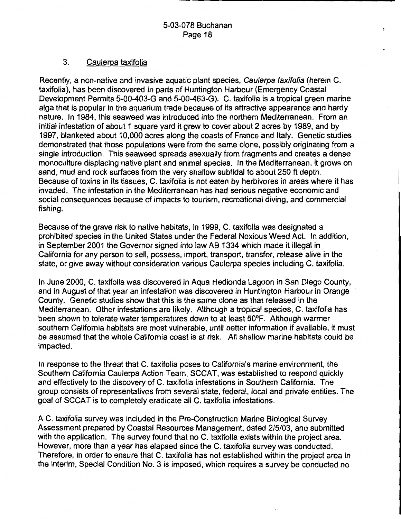#### 3. Caulerpa taxifolia

Recently, a non-native and invasive aquatic plant species, Caulerpa taxifolia (herein C. taxifolia), has been discovered in parts of Huntington Harbour (Emergency Coastal Development Permits 5-00-403-G and 5-00-463-G). C. taxifolia is a tropical green marine alga that is popular in the aquarium trade because of its attractive appearance and hardy nature. In 1984, this seaweed was introduced into the northern Mediterranean. From an initial infestation of about 1 square yard it grew to cover about 2 acres by 1989, and by 1997, blanketed about 10,000 acres along the coasts of France and Italy. Genetic studies demonstrated that those populations were from the same clone, possibly originating from a single introduction. This seaweed spreads asexually from fragments and creates a dense monoculture displacing native plant and animal species. In the Mediterranean, it grows on sand, mud and rock surfaces from the very shallow subtidal to about 250 ft depth. Because of toxins in its tissues, C. taxifolia is not eaten by herbivores in areas where it has invaded. The infestation in the Mediterranean has had serious negative economic and social consequences because of impacts to tourism, recreational diving, and commercial fishing.

Because of the grave risk to native habitats, in 1999, C. taxifolia was designated a prohibited species in the United States under the Federal Noxious Weed Act. In addition, in September 2001 the Governor signed into law AB 1334 which made it illegal in California for any person to sell, possess, import, transport, transfer, release alive in the state, or give away without consideration various Caulerpa species including C. taxifolia.

In June 2000, C. taxifolia was discovered in Aqua Hedionda Lagoon in San Diego County, and in August of that year an infestation was discovered in Huntington Harbour in Orange County. Genetic studies show that this is the same clone as that released in the Mediterranean. Other infestations are likely. Although a tropical species, C. taxifolia has been shown to tolerate water temperatures down to at least 50°F. Although warmer southern California habitats are most vulnerable, until better information if available, it must be assumed that the whole California coast is at risk. All shallow marine habitats could be impacted.

In response to the threat that C. taxifolia poses to California's marine environment, the Southern California Caulerpa Action Team, SCCAT, was established to respond quickly and effectively to the discovery of C. taxifolia infestations in Southern California. The group consists of representatives from several state, federal, local and private entities. The goal of SCCAT is to completely eradicate all C. taxifolia infestations.

A C. taxifolia survey was included in the Pre-Construction Marine Biological Survey Assessment prepared by Coastal Resources Management, dated 2/5/03, and submitted with the application. The survey found that no C. taxifolia exists within the project area. However, more than a year has elapsed since the C. taxifolia survey was conducted. Therefore, in order to ensure that C. taxifolia has not established within the project area in the interim, Special Condition No. 3 is imposed, which requires a survey be conducted no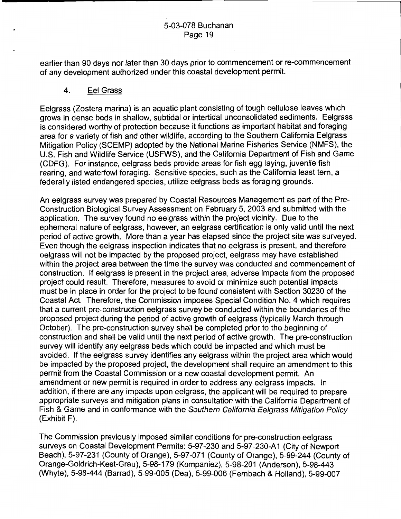earlier than 90 days nor later than 30 days prior to commencement or re-commencement of any development authorized under this coastal development permit.

#### 4. Eel Grass

Eelgrass (Zostera marina) is an aquatic plant consisting of tough cellulose leaves which grows in dense beds in shallow, subtidal or intertidal unconsolidated sediments. Eelgrass is considered worthy of protection because it functions as important habitat and foraging area for a variety of fish and other wildlife, according to the Southern California Eelgrass Mitigation Policy (SCEMP) adopted by the National Marine Fisheries Service (NMFS), the U.S. Fish and Wildlife Service (USFWS), and the California Department of Fish and Game (CDFG). For instance, eelgrass beds provide areas for fish egg laying, juvenile fish rearing, and waterfowl foraging. Sensitive species, such as the California least tern, a federally listed endangered species, utilize eelgrass beds as foraging grounds.

An eelgrass survey was prepared by Coastal Resources Management as part of the Pre-Construction Biological Survey Assessment on February 5, 2003 and submitted with the application. The survey found no eelgrass within the project vicinity. Due to the ephemeral nature of eelgrass, however, an eelgrass certification is only valid until the next period of active growth. More than a year has elapsed since the project site was surveyed. Even though the eelgrass inspection indicates that no eelgrass is present, and therefore eelgrass will not be impacted by the proposed project, eelgrass may have established within the project area between the time the survey was conducted and commencement of construction. If eelgrass is present in the project area, adverse impacts from the proposed project could result. Therefore, measures to avoid or minimize such potential impacts must be in place in order for the project to be found consistent with Section 30230 of the Coastal Act. Therefore, the Commission imposes Special Condition No. 4 which requires that a current pre-construction eelgrass survey be conducted within the boundaries of the proposed project during the period of active growth of eelgrass (typically March through October). The pre-construction survey shall be completed prior to the beginning of construction and shall be valid until the next period of active growth. The pre-construction survey will identify any eelgrass beds which could be impacted and which must be avoided. If the eelgrass survey identifies any eelgrass within the project area which would be impacted by the proposed project, the development shall require an amendment to this permit from the Coastal Commission or a new coastal development permit. An amendment or new permit is required in order to address any eelgrass impacts. In addition, if there are any impacts upon eelgrass, the applicant will be required to prepare appropriate surveys and mitigation plans in consultation with the California Department of Fish & Game and in conformance with the Southern California Eelgrass Mitigation Policy (Exhibit F).

The Commission previously imposed similar conditions for pre-construction eelgrass surveys on Coastal Development Permits: 5-97-230 and 5-97-230-A1 (City of Newport Beach), 5-97-231 (County of Orange), 5-97-071 (County of Orange), 5-99-244 (County of Orange-Goldrich-Kest-Grau), 5-98-179 (Kompaniez), 5-98-201 (Anderson), 5-98-443 (Whyte), 5-98-444 (Barrad), 5-99-005 (Dea), 5-99-006 (Fernbach & Holland), 5-99-007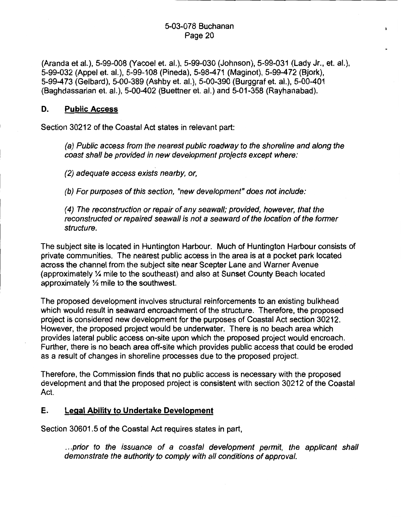(Aranda et al.), 5-99-008 (Yacoel et. al.), 5-99-030 (Johnson), 5-99-031 (Lady Jr., et. al.), 5-99-032 (Appel et. al.), 5-99-108 (Pineda), 5-98-471 (Maginot), 5-99-472 (Bjork), 5-99-473 (Gelbard), 5-00-389 (Ashby et. al.), 5-00-390 (Burggraf et. al.), 5-00-401 (Baghdassarian et. al.), 5-00-402 (Buettner et. al.) and 5-01-358 (Rayhanabad).

#### **D. Public Access**

Section 30212 of the Coastal Act states in relevant part:

(a) Public access from the nearest public roadway to the shoreline and along the coast shall be provided in new development projects except where:

(2) adequate access exists nearby, or,

(b) For purposes of this section, "new development" does not include:

(4) The reconstruction or repair of any seawall; provided, however, that the reconstructed or repaired seawall is not a seaward of the location of the former structure.

The subject site is located in Huntington Harbour. Much of Huntington Harbour consists of private communities. The nearest public access in the area is at a pocket park located across the channel from the subject site near Scepter Lane and Warner Avenue (approximately X mile to the southeast) and also at Sunset County Beach located approximately  $\frac{1}{2}$  mile to the southwest.

The proposed development involves structural reinforcements to an existing bulkhead which would result in seaward encroachment of the structure. Therefore, the proposed project is considered new development for the purposes of Coastal Act section 30212. However, the proposed project would be underwater. There is no beach area which provides lateral public access on-site upon which the proposed project would encroach. Further, there is no beach area off-site which provides public access that could be eroded as a result of changes in shoreline processes due to the proposed project.

Therefore, the Commission finds that no public access is necessary with the proposed development and that the proposed project is consistent with section 30212 of the Coastal Act.

#### **E. Legal Ability to Undertake Development**

Section 30601.5 of the Coastal Act requires states in part,

...prior to the issuance of a coastal development permit, the applicant shall demonstrate the authority to comply with all conditions of approval.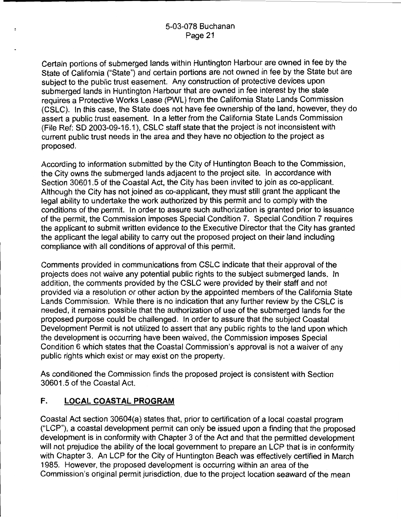Certain portions of submerged lands within Huntington Harbour are owned in fee by the State of California ("State") and certain portions are not owned in fee by the State but are subject to the public trust easement. Any construction of protective devices upon submerged lands in Huntington Harbour that are owned in fee interest by the state requires a Protective Works Lease (PWL) from the California State Lands Commission (CSLC). In this case, the State does not have fee ownership of the land, however, they do assert a public trust easement. In a letter from the California State Lands Commission (File Ref: SD 2003-09-16.1 ), CSLC staff state that the project is not inconsistent with current public trust needs in the area and they have no objection to the project as proposed.

According to information submitted by the City of Huntington Beach to the Commission, the City owns the submerged lands adjacent to the project site. In accordance with Section 30601.5 of the Coastal Act, the City has been invited to join as co-applicant. Although the City has not joined as co-applicant, they must still grant the applicant the legal ability to undertake the work authorized by this permit and to comply with the conditions of the permit. In order to assure such authorization is granted prior to issuance of the permit, the Commission imposes Special Condition 7. Special Condition 7 requires the applicant to submit written evidence to the Executive Director that the City has granted the applicant the legal ability to carry out the proposed project on their land including compliance with all conditions of approval of this permit.

Comments provided in communications from CSLC indicate that their approval of the projects does not waive any potential public rights to the subject submerged lands. In addition, the comments provided by the CSLC were provided by their staff and not provided via a resolution or other action by the appointed members of the California State Lands Commission. While there is no indication that any further review by the CSLC is needed, it remains possible that the authorization of use of the submerged lands for the proposed purpose could be challenged. In order to assure that the subject Coastal Development Permit is not utilized to assert that any public rights to the land upon which the development is occurring have been waived, the Commission imposes Special Condition 6 which states that the Coastal Commission's approval is not a waiver of any public rights which exist or may exist on the property.

As conditioned the Commission finds the proposed project is consistent with Section 30601.5 of the Coastal Act.

## **F. LOCAL COASTAL PROGRAM**

Coastal Act section 30604(a) states that, prior to certification of a local coastal program ("LCP"), a coastal development permit can only be issued upon a finding that the proposed development is in conformity with Chapter 3 of the Act and that the permitted development will not prejudice the ability of the local government to prepare an LCP that is in conformity with Chapter 3. An LCP for the City of Huntington Beach was effectively certified in March 1985. However, the proposed development is occurring within an area of the Commission's original permit jurisdiction, due to the project location seaward of the mean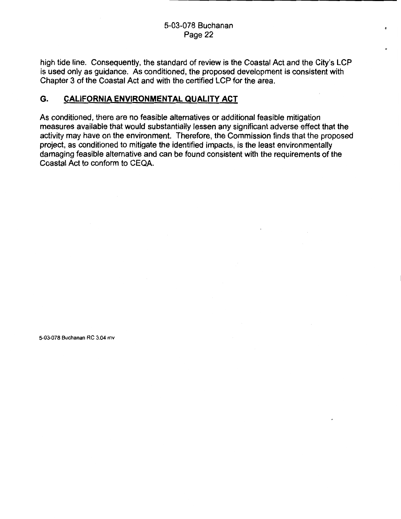high tide line. Consequently, the standard of review is the Coastal Act and the City's LCP is used only as guidance. As conditioned, the proposed development is consistent with Chapter 3 of the Coastal Act and with the certified LCP for the area.

#### **G. CALIFORNIA ENVIRONMENTAL QUALITY ACT**

As conditioned, there are no feasible alternatives or additional feasible mitigation measures available that would substantially lessen any significant adverse effect that the activity may have on the environment. Therefore, the Commission finds that the proposed project, as conditioned to mitigate the identified impacts, is the least environmentally damaging feasible alternative and can be found consistent with the requirements of the Coastal Act to conform to CEQA.

5-03-078 Buchanan RC 3.04 mv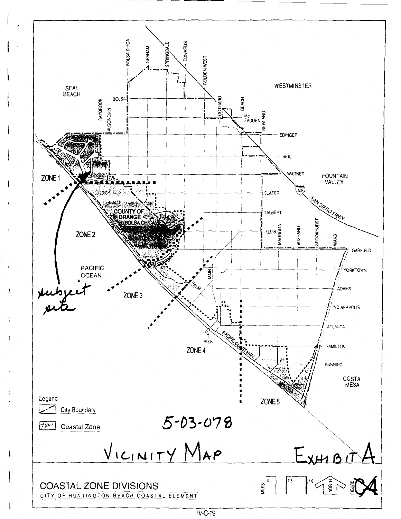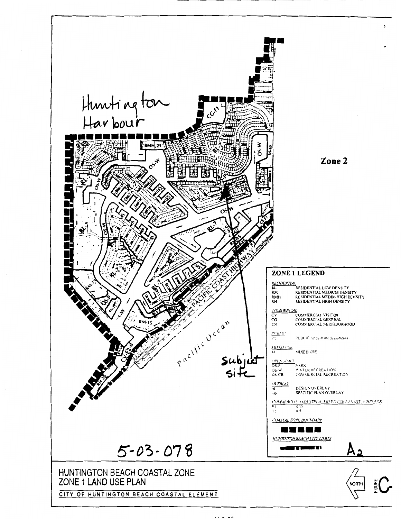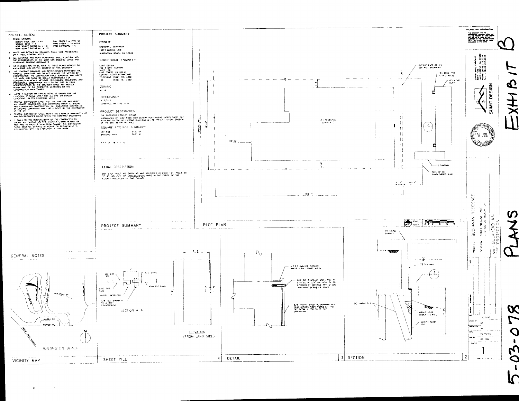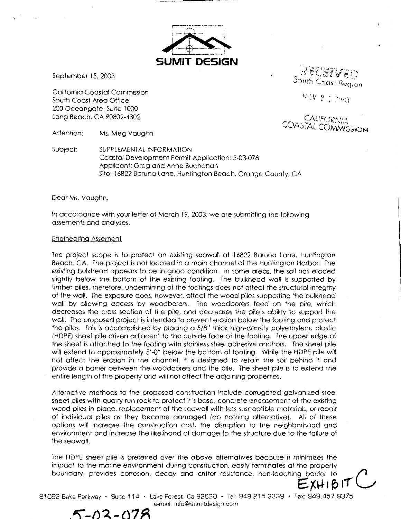

September 15. 2003

California Coastal Commission South Coast Area Office 200 Oceangate, Suite 1000 Long Beach, CA 90802-4302

 $382$ South Coast Region

NOV  $2 \div 2$ 

CALIFORNIA COASTAL COMMISSION

Attention: Ms. Meg Vaughn

Subject: SUPPLEMENTAL INFORMATION Coastal Development Permit Application: 5-03-078 Applicant: Greg and Anne Buchanan Site: 16822 Baruna Lane. Huntington Beach, Orange County, CA

Dear Ms. Vaughn,

In accordance with your letter of March 19, 2003, we are submitting the following assements and analyses.

#### Engineering Assement

The project scope is to protect an existing seawall at 16822 Baruna Lane. Huntington Beach. CA. The project is not located in a main channel of the Huntington Harbor. The existing bulkhead appears to be in good condition. In some areas. the soil has eroded slightly below the bottom of the existing footing. The bulkhead wall is supported by timber piles. therefore, undermining of the footings does not affect the structural integrity of the wall. The exposure does, however, affect the wood piles supporting the bulkhead wall by allowing access by woodborers. The woodborers feed on the pile, which decreases the cross section of the pile. and decreases the pile's ability to support the wall. The proposed project is intended to prevent erosion below the footing and protect the piles. This is accomplished by placing a 5/8" thick high-density polyethylene plastic (HDPE) sheet pile driven adjacent to the outside face of the footing. The upper edge of the sheet is attached to the footing with stainless steel adhesive anchors. The sheet pile will extend to approximately 5'-0" below the bottom of footing. While the HDPE pile will not affect the erosion in the channel, it is designed to retain the soil behind it and provide a barrier between the woodborers and the pile. The sheet pile is to extend the entire length of the property and will not affect the adjoining properties.

Alternative methods to the proposed construction include corrugated galvanized steel sheet piles with quarry run rock to protect it's base. concrete encasement of the existing wood piles in place. replacement of the seawall with less susceptible materials, or repair of individual piles as they become damaged (do nothing alternative). All of these options will increase the construction cost. the disruption to the neighborhood and environment and increase the likelihood of damage to the structure due to the failure of the seawall.

The HDPE sheet pile is preferred over the above alternatives because it minimizes the impact to the marine environment during construction, easily terminates at the property boundary, provides corrosion, decay and critter resistance, non-leaching barrier to  $~\epsilon$ 

21092 Bake Parkway • SUite 114 • Lake Forest, Ca 92630 • Tel 949 215 3339 • Fax: 949.457.9375 e-mail: info@sumitdesign.com

*5-03-078*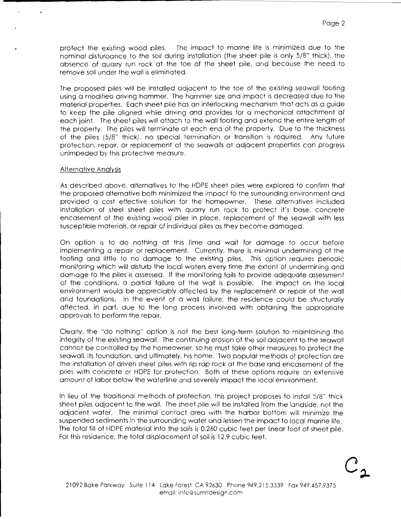$\mathcal{L}_{\mathbf{1}}$ 

protect the existing wood piles. The impact to marine life is minimized due to the nominal disturbance to the soil during installation (the sheet pile is only 5/8" thick), the absence of quarry run rock at the toe of the sheet pile, and because the need to remove soil under the wall is eliminated.

The proposed piles will be installed adjacent to the toe of the existing seawall footing using a modified driving hammer. The hammer size and impact is decreased due to the material properties. Each sheet pile has an interlocking mechanism that acts as a guide to keep the pile aligned while driving and provides for a mechanical attachment at each joint. The sheet piles will attach to the wall footing and extend the entire length of the property. The piles will terminate at each end of the property. Due to the thickness of the piles (5/8" thick), no special termination or transition is required. Any future protection, repair, or replacement of the seawalls at adjacent properties can progress unimpeded by this protective measure.

#### Alternative Analysis

As described above, alternatives to the HDPE sheet piles were explored to confirm that the proposed alternative both minimized the impact to the surrounding environment and provided a cost effective solution for the homeowner. These alternatives included installation of steel sheet piles with quarry run rock to protect it's base, concrete encasement of the existing wood piles in place, replacement of the seawall with less susceptible materials, or repair of individual piles as they become damaged.

On option is to do nothing at this time and wait for damage to occur before implementing a repair or replacement. Currently, there is minimal undermining of the footing and little to no damage to the existing piles. This option requires periodic monitoring which will disturb the local waters every time the extent of undermining and damage to the piles is assessed. If the monitoring fails to provide adequate assessment of the conditions, a partial failure of the wall is possible. The impact on the local environment would be appreciably affected by the replacement or repair of the wall and foundations. In the event of a wall failure, the residence could be structurally affected, in part, due to the long process involved with obtaining the appropriate approvals to perform the repair.

Clearly, the "do nothing" option is not the best long-term solution to maintaining the integrity of the existing seawall. The continuing erosion of the soil adjacent to the seawall cannot be controlled by the homeowner, so he must take other measures to protect the seawall, its foundation, and ultimately, his home. Two popular methods of protection are the installation of driven sheet piles with rip rap rock at the base and encasement of the piles with concrete or HDPE for protection. Both of these options require an extensive amount of labor below the waterline and severely impact the local environment.

In lieu of the traditional methods of protection, this project proposes to install 5/8" thick sheet piles adjacent to the wall. The sheet pile will be installed from the landside, not the adjacent water. The minimal contact area with the harbor bottom will minimize the suspended sediments in the surrounding water and lessen the impact to local marine life. The total fill of HDPE material into the soils is 0.260 cubic feet per linear foot of sheet pile. For this residence, the total displacement of soil is 12.9 cubic feet.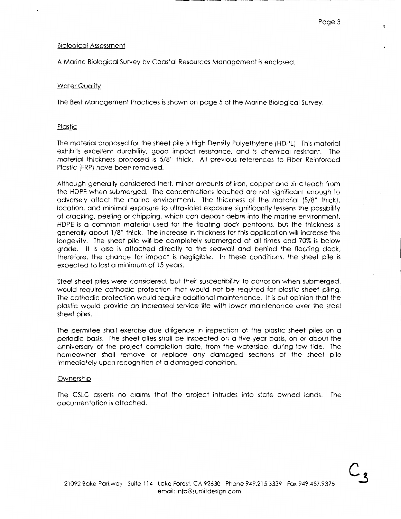#### Biological Assessment

A Marine Biological Survey by Coastal Resources Management is enclosed.

#### Water Quality

The Best Management Practices is shown on page 5 of the Marine Biological Survey.

#### Plastic

The material proposed for the sheet pile is High Density Polyethylene (HOPE). This material exhibits excellent durability, good impact resistance, and is chemical resistant. The material thickness proposed is 5/8" thick. All previous references to Fiber Reinforced Plastic (FRP) have been removed.

Although generally considered inert. minor amounts of iron, copper and zinc leach from the HOPE when submerged. The concentrations leached are not significant enough to adversely affect the marine environment. The thickness of the material (518" thick), location, and minimal exposure to ultraviolet exposure significantly lessens the possibility of cracking, peeling or chipping, which can deposit debris into the marine environment. HOPE is a common material used for the floating dock pontoons, but the thickness is generally about 1 /8" thick. The increase in thickness for this application will increase the longevity. The sheet pile will be completely submerged at all times and 70% is below grade. It is also is attached directly to the seawall and behind the floating dock, therefore, the chance for impact is negligible. In these conditions, the sheet pile is expected to last a minimum of 15 years.

Steel sheet piles were considered, but their susceptibility to corrosion when submerged, would require cathodic protection that would not be required for plastic sheet piling. The cathodic protection would require additional maintenance. It is out opinion that the plastic would provide an increased service life with lower maintenance over the steel sheet piles.

The permitee shall exercise due diligence in inspection of the plastic sheet piles on a periodic basis. The sheet piles shall be inspected on a five-year basis, on or about the anniversary of the project completion date, from the waterside, during low tide. The homeowner shall remove or replace any damaged sections of the sheet pile immediately upon recognition of a damaged condition.

#### **Ownership**

The CSLC asserts no claims that the project intrudes into state owned lands. The documentation is attached.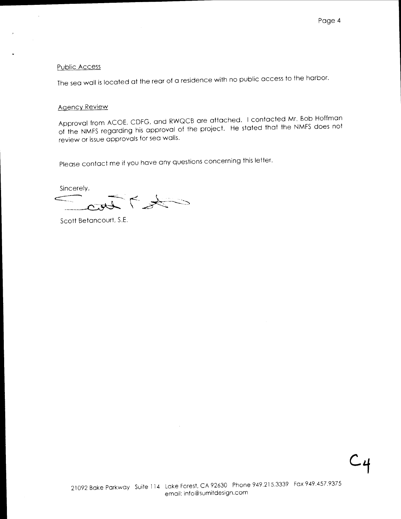#### Public Access

The sea wall is located at the rear of a residence with no public access to the harbor.

#### Agency Review

Approval from ACOE, CDFG, and RWQCB are attached. I contacted Mr. Bob Hoffman of the NMFS regarding his approval of the project. He stated that the NMFS does not review or issue approvals for sea walls.

Please contact me if you have any questions concerning this letter.

Sincerely,

 $C = \frac{1}{2}$  $\sub$ 

Scott Betancourt, S.E.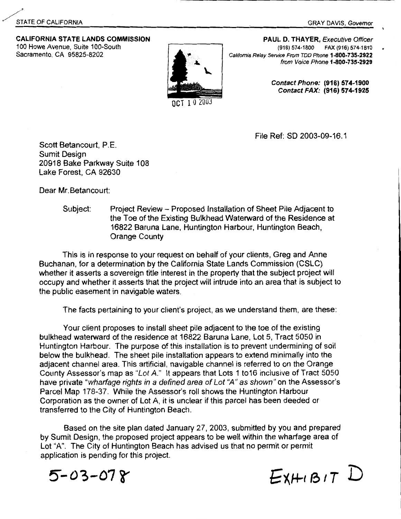*)>* 

CALIFORNIA STATE LANDS COMMISSION 100 Howe Avenue, Suite 100-South Sacramento, CA 95825-8202



PAUL D. THAYER, Executive Officer (916) 574-1800 FAX (916) 574-1810 California Relay Service From TOO Phone 1-800-735-2922 from Voice Phone 1-800-735-2929

File Ref: SO 2003-09-16.1

Contact Phone: (916) 574-1900 Contact FAX: (916) 574-1925

Scott Betancourt, P.E. Sumit Design 20918 Bake Parkway Suite 108 Lake Forest, CA 92630

Dear Mr.Betancourt:

Subject: Project Review- Proposed Installation of Sheet Pile Adjacent to the Toe of the Existing Bulkhead Waterward of the Residence at 16822 Baruna Lane, Huntington Harbour, Huntington Beach, Orange County

This is in response to your request on behalf of your clients, Greg and Anne Buchanan, for a determination by the California State Lands Commission (CSLC) whether it asserts a sovereign title interest in the property that the subject project will occupy and whether it asserts that the project will intrude into an area that is subject to the public easement in navigable waters.

The facts pertaining to your client's project, as we understand them, are these:

Your client proposes to install sheet pile adjacent to the toe of the existing bulkhead waterward of the residence at 16822 Baruna Lane, Lot 5, Tract 5050 in Huntington Harbour. The purpose of this installation is to prevent undermining of soil below the bulkhead. The sheet pile installation appears to extend minimally into the adjacent channel area. This artificial, navigable channel is referred to on the Orange County Assessor's map as "Lot A." It appears that Lots 1 to16 inclusive of Tract 5050 have private "wharfage rights in a defined area of Lot "A" as shown" on the Assessor's Parcel Map 178-37. While the Assessor's roll shows the Huntington Harbour Corporation as the owner of Lot A, it is unclear if this parcel has been deeded or transferred to the City of Huntington Beach.

Based on the site plan dated January 27, 2003, submitted by you and prepared by Sumit Design, the proposed project appears to be well within the wharfage area of Lot "A". The City of Huntington Beach has advised us that no permit or permit application is pending for this project.

 $5 - 03 - 078$  *EXHIBIT* D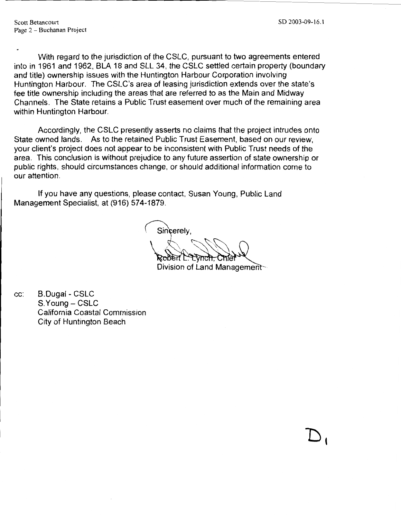With regard to the jurisdiction of the CSLC, pursuant to two agreements entered into in 1961 and 1962, BLA 18 and SLL 34, the CSLC settled certain property (boundary and title) ownership issues with the Huntington Harbour Corporation involving Huntington Harbour. The CSLC's area of leasing jurisdiction extends over the state's fee title ownership including the areas that are referred to as the Main and Midway Channels. The State retains a Public Trust easement over much of the remaining area within Huntington Harbour.

Accordingly, the CSLC presently asserts no claims that the project intrudes onto State owned lands. As to the retained Public Trust Easement, based on our review, your client's project does not appear to be inconsistent with Public Trust needs of the area. This conclusion is without prejudice to any future assertion of state ownership or public rights, should circumstances change, or should additional information come to our attention.

If you have any questions, please contact, Susan Young, Public Land Management Specialist, at {916) 574-1879.

Sincerely. , Cniel

Division of Land Management

cc: B.Dugal- CSLC S.Young- CSLC California Coastal Commission City of Huntington Beach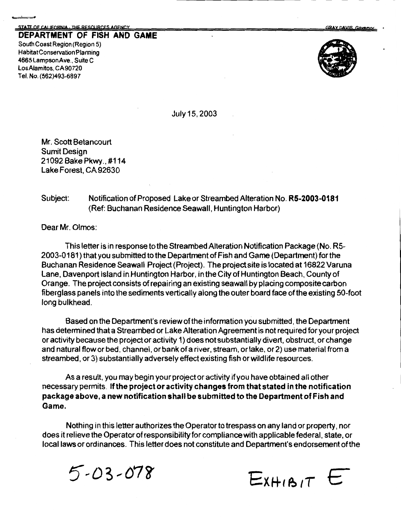#### STATE OF CALIFORNIA . THE RESOURCES AGENCY **CALL A CONSUMING THE CONSUMING CONSUMING** GOVERNANCES AGENCY **CONSUMING** DEPARTMENT OF FISH AND GAME South Coast Region (Region 5) Habitat Conservation Planning

4665lampsonAve., Suite C los Alamitos, CA 90720 Tel. No. (562)493-6897





July 15, 2003

Mr. Scott Betancourt Sumit Design 21092 Bake Pkwy., #114 Lake Forest, CA 92630

#### Subject: Notification of Proposed Lake or Streambed Alteration No. RS-2003-0181 (Ref: Buchanan Residence Seawall, Huntington Harbor)

Dear Mr. Olmos:

This letter is in response to the Streambed Alteration Notification Package (No. RS-2003-0 181) that you submitted to the Department of Fish and Game (Department) for the Buchanan Residence Seawall Project (Project). The project site is located at 16822 Varuna Lane, Davenport Island in Huntington Harbor, in the City of Huntington Beach, County of Orange. The project consists of repairing an existing seawall by placing composite carbon fiberglass panels into the sediments vertically along the outer board face of the existing 50-foot long bulkhead.

Based on the Department's review ofthe information you submitted, the Department has determined that a Streambed or Lake Alteration Agreement is not required for your project or activity because the project or activity 1) does not substantially divert, obstruct, or change and natural flow or bed, channel, or bank of a river, stream, or lake, or 2) use material from a streambed, or 3) substantially adversely effect existing fish or wildlife resources.

As a result, you may begin your project or activity if you have obtained all other necessary permits. If the project or activity changes from that stated in the notification package above, a new notification shall be submitted to the Department of Fish and Game.

Nothing in this letter authorizes the Operator to trespass on any land or property, nor does it relieve the Operator of responsibility for compliance with applicable federal, state, or local laws or ordinances. This letter does not constitute and Department's endorsement of the

 $5 - 03 - 078$ 

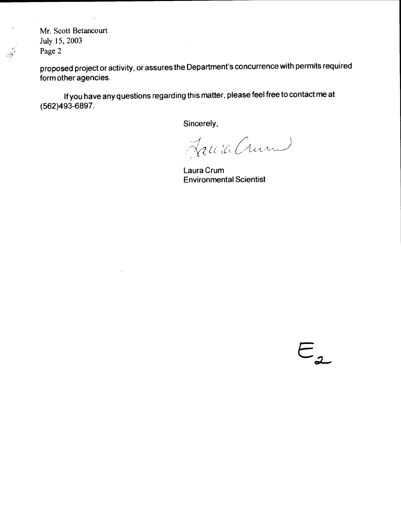Mr. Scott Betancourt July 15, 2003 *Page 2* 

> proposed project or activity, or assures the Department's concurrence with permits required form other agencies.

If you have any questions regarding this matter, please feel free to contact me at (562)493-6897.

Sincerely,

Faccia Crum

LauraCrum Environmental Scientist

 $E_{2}$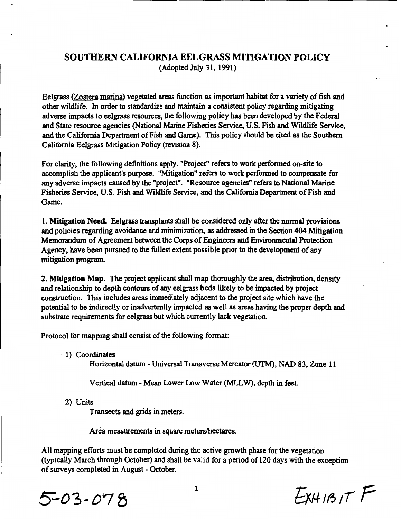## SOUTHERN CALIFORNIA EELGRASS MITIGATION POLICY (Adopted July 31, 1991)

Eelgrass (Zostera marina) vegetated areas function as important habitat for a variety of fish and other wildlife. In order to standardize and maintain a consistent policy regarding mitigating adverse impacts to eelgrass resources, the following policy has been developed by the Federal and State resource agencies (National Marine Fisheries Service, U.S. Fish and Wildlife Service, and the California Department of Fish and Game). This policy should be cited as the Southern California Eelgrass Mitigation Policy (revision 8).

For clarity, the following definitions apply. "Project" refers to work performed on-site to accomplish the applicant's purpose. "Mitigation" refers to work performed to compensate for any adverse impacts caused by the "project". "Resource agencies" refers to National Marine Fisheries Service, U.S. Fish and Wildlife Service, and the California Department of Fish and Game.

1. Mitigation Need. Eelgrass transplants shall be considered only after the normal provisions and policies regarding avoidance and minimization, as addressed in the Section 404 Mitigation Memorandum of Agreement between the Corps of Engineers and Environmental Protection Agency, have been pursued to the fullest extent possible prior to the development of any mitigation program.

2. Mitigation Map. The project applicant shall map thoroughly the area, distribution, density and relationship to depth contours of any eelgrass beds likely to be impacted by project construction. This includes areas immediately adjacent to the project site which have the potential to be indirectly or inadvertently impacted as well as areas having the proper depth and substrate requirements for eelgrass but which currently lack vegetation.

Protocol for mapping shall consist of the following format:

1) Coordinates

Horizontal datum - Universal Transverse Mercator (UTM), NAD 83, Zone 11

Vertical datum - Mean Lower Low Water (MLL W), depth in feet.

2) Units

Transects and grids in meters.

Area measurements in square meters/hectares.

All mapping efforts must be completed during the active growth phase for the vegetation (typically March through October) and shall be valid for a period of 120 days with the exception of surveys completed in August - October.

5-03-078

 $F_{XHIBIT}$  F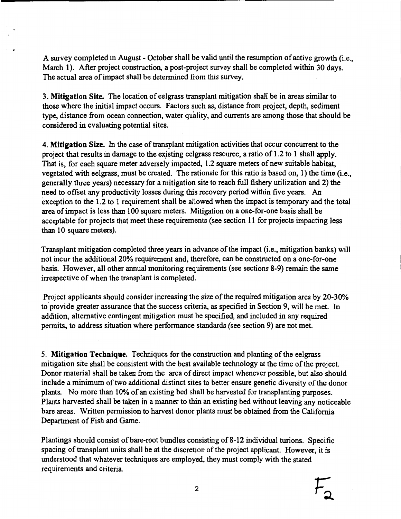A survey completed in August - October shall be valid until the resumption of active growth (i.e., March 1). After project construction, a post-project survey shall be completed within 30 days. The actual area of impact shall be determined from this survey.

3. Mitigation Site. The location of eelgrass transplant mitigation shall be in areas similar to those where the initial impact occurs. Factors such as, distance from project, depth, sediment type, distance from ocean connection, water qu'ality, and currents are among those that should be considered in evaluating potential sites.

4. Mitigation Size. In the case of transplant mitigation activities that occur concurrent to the project that results in damage to the existing eelgrass resource, a ratio of 1.2 to 1 shall apply. That is, for each square meter adversely impacted, 1.2 square meters of new suitable habitat, vegetated with eelgrass, must be created. The rationale for this ratio is based on, 1) the time (i.e., generally three years) necessary for a mitigation site to reach full fishery utilization and 2) the need to offset any productivity losses during this recovery period within five years. An exception to the 1.2 to 1 requirement shall be allowed when the impact is temporary and the total area of impact is less than 100 square meters. Mitigation on a one-for-one basis shall be acceptable for projects that meet these requirements (see section 11 for projects impacting less than 10 square meters).

Transplant mitigation completed three years in advance of the impact (i.e., mitigation banks) will not incur the additional 20% requirement and, therefore, can be constructed on a one-for-one basis. However, all other annual monitoring requirements (see sections 8-9) remain the same irrespective of when the transplant is completed.

Project applicants should consider increasing the size of the required mitigation area by 20-30% to provide greater assurance that the success criteria, as specified in Section 9, will be met. In addition, alternative contingent mitigation must be specified, and included in any required permits, to address situation where performance standards (see section 9) are not met.

*5.* Mitigation Technique. Techniques for the construction and planting of the eelgrass mitigation site shall be consistent with the best available technology at the time of the project. Donor material shall be taken from the area of direct impact whenever possible, but also should include a minimum of two additional distinct sites to better ensure genetic diversity of the donor plants. No more than 10% of an existing bed shall be harvested for transplanting purposes. Plants harvested shall be taken in a manner to thin an existing bed without leaving any noticeable bare areas. Written permission to harvest donor plants must be obtained from the California Department of Fish and Game.

Plantings should consist of bare-root bundles consisting of 8-12 individual turions. Specific spacing of transplant units shall be at the discretion of the project applicant. However, it is understood that whatever techniques are employed, they must comply with the stated requirements and criteria.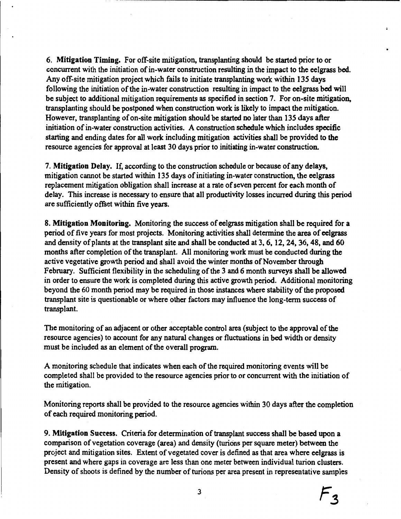6. Mitigation Timing. For off-site mitigation, transplanting should be started prior to or concurrent with the initiation of in-water construction resulting in the impact to the eelgrass bed. Any off-site mitigation project which fails to initiate transplanting work within 135 days following the initiation of the in-water construction resulting in impact to the eelgrass bed will be subject to additional mitigation requirements as specified in section 7. For on-site mitigation, transplanting should be postponed when construction work is likely to impact the mitigation. However, transplanting of on-site mitigation should be started no later than 135 days after initiation of in-water construction activities. A construction schedule which includes specific starting and ending dates for all work including mitigation activities shall be provided to the resource agencies for approval at least 30 days prior to initiating in-water construction.

7. Mitigation Delay. If, according to the construction schedule or because of any delays, mitigation cannot be started within 135 days of initiating in-water construction, the eelgrass replacement mitigation obligation shall increase at a rate of seven percent for each month of delay. This increase is necessary to ensure that all productivity losses incurred during this period are sufficiently offset within five years.

8. Mitigation Monitoring. Monitoring the success of eelgrass mitigation shall be required for a period of five years for most projects. Monitoring activities shall determine the area of eelgrass and density of plants at the transplant site and shall be conducted at 3, 6, 12, 24, 36, 48, and 60 months after completion of the transplant. All monitoring work must be conducted during the active vegetative growth period and shall avoid the winter months of November through February. Sufficient flexibility in the scheduling of the 3 and 6 month surveys shall be allowed in order to ensure the work is completed during this active growth period. Additional monitoring beyond the 60 month period may be required in those instances where stability of the proposed transplant site is questionable or where other factors may influence the long-term success of transplant.

The monitoring of an adjacent or other acceptable control area (subject to the approval of the resource agencies) to account for any natural changes or fluctuations in bed width or density must be included as an element of the overall program.

A monitoring schedule that indicates when each of the required monitoring events will be completed shall be provided to the resource agencies prior to or concurrent with the initiation of the mitigation.

Monitoring reports shall be provided to the resource agencies within 30 days after the completion of each required monitoring period.

9. Mitigation Success. Criteria for determination of transplant success shall be based upon a comparison of vegetation coverage (area) and density (turions per square meter) between the project and mitigation sites. Extent of vegetated cover is defined as that area where eelgrass is present and where gaps in coverage are less than one meter between individual turion clusters. Density of shoots is defined by the number of turions per area present in representative samples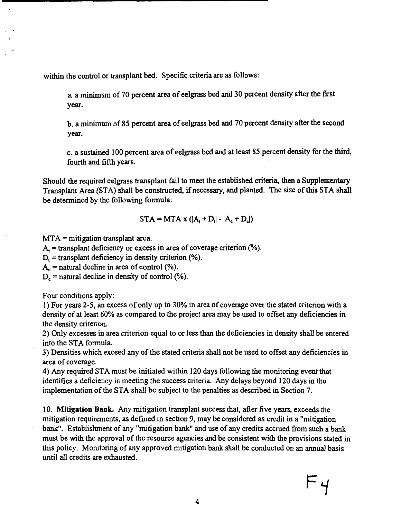within the control or transplant bed. Specific criteria are as follows:

a. a minimum of 70 percent area of eelgrass bed and 30 percent density after the first year.

b. a minimum of 85 percent area of eelgrass bed and 70 percent density after the second year.

c. a sustained 100 percent area of eelgrass bed and at least 85 percent density for the third, fourth and fifth years.

Should the required eelgrass transplant fail to meet the established criteria, then a Supplementary Transplant Area (STA) shall be constructed, if necessary, and planted. The size of this STA shall be determined by the following formula:

$$
STA = MTA \times (|A_t + D_t| - |A_c + D_c|)
$$

MTA = mitigation transplant area.

 $A =$  transplant deficiency or excess in area of coverage criterion  $(\%)$ .

 $D<sub>i</sub>$  = transplant deficiency in density criterion (%).

 $A<sub>c</sub>$  = natural decline in area of control (%).

 $D<sub>c</sub>$  = natural decline in density of control (%).

Four conditions apply:

1) For years 2-5, an excess of only up to 30% in area of coverage over the stated criterion with a density of at least 60% as compared to the project area may be used to offset any deficiencies in the density criterion.

2) Only excesses in area criterion equal to or less than the deficiencies in density shall be entered into the STA formula.

3) Densities which exceed any of the stated criteria shall not be used to offset any deficiencies in area of coverage.

4) Any required STA must be initiated within 120 days following the monitoring event that identifies a deficiency in meeting the success criteria. Any delays beyond 120 days in the implementation of the STA shall be subject to the penalties as described in Section 7.

10. Mitigation Bank. Any mitigation transplant success that, after five years, exceeds the mitigation requirements, as defmed in section 9, may be considered as credit in a "mitigation bank". Establishment of any "mitigation bank" and use of any credits accrued from such a bank must be with the approval of the resource agencies and be consistent with the provisions stated in this policy. Monitoring of any approved mitigation bank shall be conducted on an annual basis until all credits are exhausted.

F 4